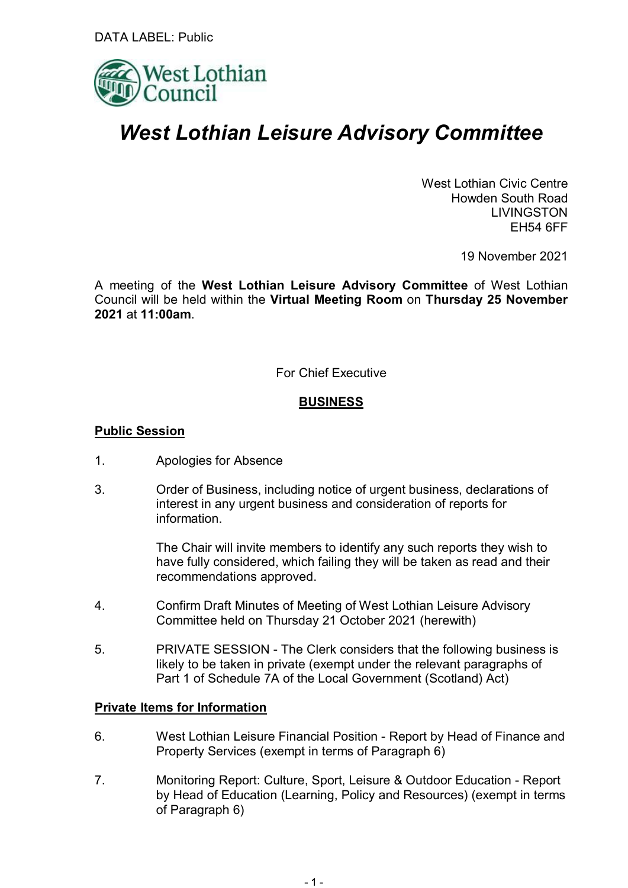

# *West Lothian Leisure Advisory Committee*

West Lothian Civic Centre Howden South Road LIVINGSTON EH54 6FF

19 November 2021

A meeting of the **West Lothian Leisure Advisory Committee** of West Lothian Council will be held within the **Virtual Meeting Room** on **Thursday 25 November 2021** at **11:00am**.

For Chief Executive

## **BUSINESS**

## **Public Session**

- 1. Apologies for Absence
- 3. Order of Business, including notice of urgent business, declarations of interest in any urgent business and consideration of reports for information.

The Chair will invite members to identify any such reports they wish to have fully considered, which failing they will be taken as read and their recommendations approved.

- 4. Confirm Draft Minutes of Meeting of West Lothian Leisure Advisory Committee held on Thursday 21 October 2021 (herewith)
- 5. PRIVATE SESSION The Clerk considers that the following business is likely to be taken in private (exempt under the relevant paragraphs of Part 1 of Schedule 7A of the Local Government (Scotland) Act)

## **Private Items for Information**

- 6. West Lothian Leisure Financial Position Report by Head of Finance and Property Services (exempt in terms of Paragraph 6)
- 7. Monitoring Report: Culture, Sport, Leisure & Outdoor Education Report by Head of Education (Learning, Policy and Resources) (exempt in terms of Paragraph 6)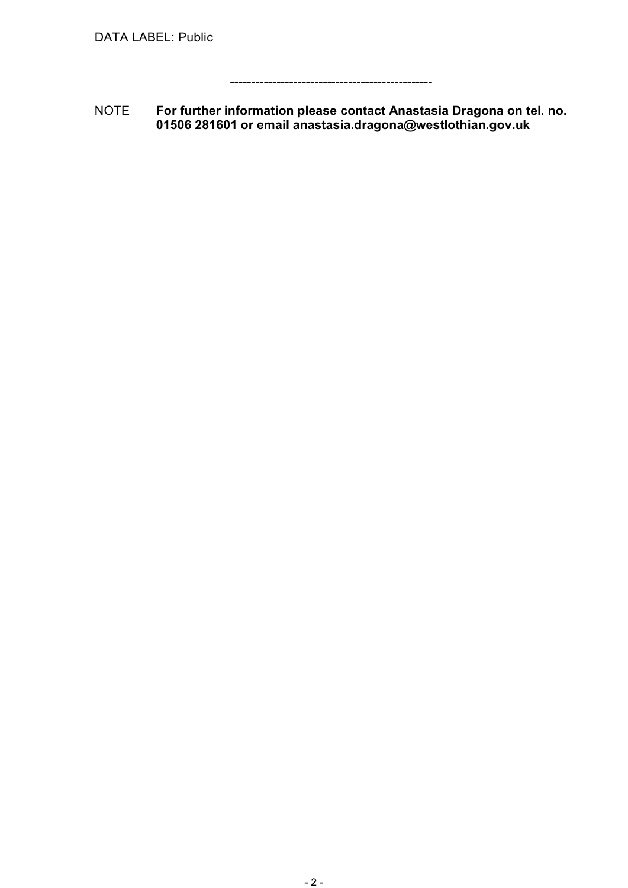------------------------------------------------

NOTE **For further information please contact Anastasia Dragona on tel. no. 01506 281601 or email anastasia.dragona@westlothian.gov.uk**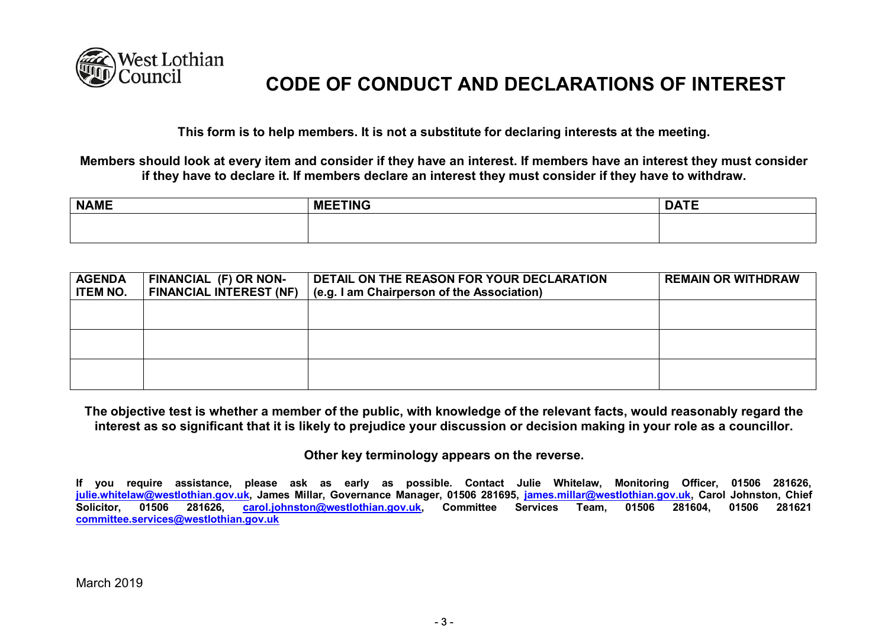

## **CODE OF CONDUCT AND DECLARATIONS OF INTEREST**

**This form is to help members. It is not a substitute for declaring interests at the meeting.**

**Members should look at every item and consider if they have an interest. If members have an interest they must consider if they have to declare it. If members declare an interest they must consider if they have to withdraw.**

| <b>NAME</b> | <b>MEETING</b> | <b>DATE</b><br>-- |
|-------------|----------------|-------------------|
|             |                |                   |
|             |                |                   |

| <b>AGENDA</b><br><b>ITEM NO.</b> | FINANCIAL (F) OR NON-<br><b>FINANCIAL INTEREST (NF)</b> | DETAIL ON THE REASON FOR YOUR DECLARATION<br>(e.g. I am Chairperson of the Association) | <b>REMAIN OR WITHDRAW</b> |
|----------------------------------|---------------------------------------------------------|-----------------------------------------------------------------------------------------|---------------------------|
|                                  |                                                         |                                                                                         |                           |
|                                  |                                                         |                                                                                         |                           |
|                                  |                                                         |                                                                                         |                           |

**The objective test is whether a member of the public, with knowledge of the relevant facts, would reasonably regard the interest as so significant that it is likely to prejudice your discussion or decision making in your role as a councillor.**

**Other key terminology appears on the reverse.**

**If you require assistance, please ask as early as possible. Contact Julie Whitelaw, Monitoring Officer, 01506 281626, julie.whitelaw@westlothian.gov.uk, James Millar, Governance Manager, 01506 281695, james.millar@westlothian.gov.uk, Carol Johnston, Chief Solicitor, 01506 281626, carol.johnston@westlothian.gov.uk, Committee Services Team, 01506 281604, 01506 281621 committee.services@westlothian.gov.uk**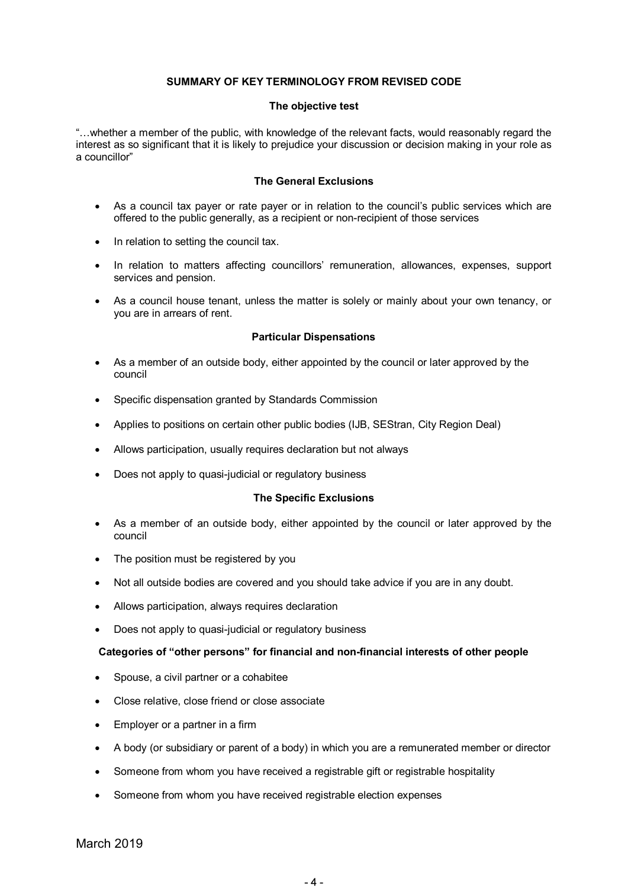#### **SUMMARY OF KEY TERMINOLOGY FROM REVISED CODE**

#### **The objective test**

"…whether a member of the public, with knowledge of the relevant facts, would reasonably regard the interest as so significant that it is likely to prejudice your discussion or decision making in your role as a councillor"

#### **The General Exclusions**

- As a council tax payer or rate payer or in relation to the council's public services which are offered to the public generally, as a recipient or non-recipient of those services
- In relation to setting the council tax.
- In relation to matters affecting councillors' remuneration, allowances, expenses, support services and pension.
- As a council house tenant, unless the matter is solely or mainly about your own tenancy, or you are in arrears of rent.

#### **Particular Dispensations**

- As a member of an outside body, either appointed by the council or later approved by the council
- Specific dispensation granted by Standards Commission
- Applies to positions on certain other public bodies (IJB, SEStran, City Region Deal)
- Allows participation, usually requires declaration but not always
- Does not apply to quasi-judicial or regulatory business

#### **The Specific Exclusions**

- As a member of an outside body, either appointed by the council or later approved by the council
- The position must be registered by you
- Not all outside bodies are covered and you should take advice if you are in any doubt.
- Allows participation, always requires declaration
- Does not apply to quasi-judicial or regulatory business

#### **Categories of "other persons" for financial and non-financial interests of other people**

- Spouse, a civil partner or a cohabitee
- Close relative, close friend or close associate
- Employer or a partner in a firm
- x A body (or subsidiary or parent of a body) in which you are a remunerated member or director
- Someone from whom you have received a registrable gift or registrable hospitality
- Someone from whom you have received registrable election expenses

March 2019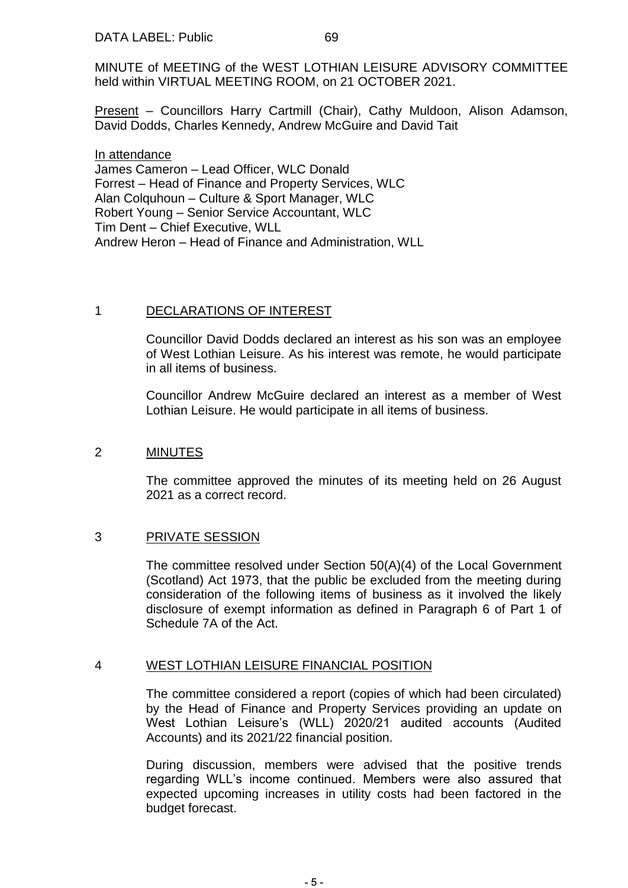Present – Councillors Harry Cartmill (Chair), Cathy Muldoon, Alison Adamson, David Dodds, Charles Kennedy, Andrew McGuire and David Tait

In attendance James Cameron – Lead Officer, WLC Donald Forrest – Head of Finance and Property Services, WLC Alan Colquhoun – Culture & Sport Manager, WLC Robert Young – Senior Service Accountant, WLC Tim Dent – Chief Executive, WLL Andrew Heron – Head of Finance and Administration, WLL

## 1 DECLARATIONS OF INTEREST

Councillor David Dodds declared an interest as his son was an employee of West Lothian Leisure. As his interest was remote, he would participate in all items of business.

Councillor Andrew McGuire declared an interest as a member of West Lothian Leisure. He would participate in all items of business.

## 2 MINUTES

The committee approved the minutes of its meeting held on 26 August 2021 as a correct record.

## 3 PRIVATE SESSION

The committee resolved under Section 50(A)(4) of the Local Government (Scotland) Act 1973, that the public be excluded from the meeting during consideration of the following items of business as it involved the likely disclosure of exempt information as defined in Paragraph 6 of Part 1 of Schedule 7A of the Act.

## 4 WEST LOTHIAN LEISURE FINANCIAL POSITION

The committee considered a report (copies of which had been circulated) by the Head of Finance and Property Services providing an update on West Lothian Leisure's (WLL) 2020/21 audited accounts (Audited Accounts) and its 2021/22 financial position.

During discussion, members were advised that the positive trends regarding WLL's income continued. Members were also assured that expected upcoming increases in utility costs had been factored in the budget forecast.